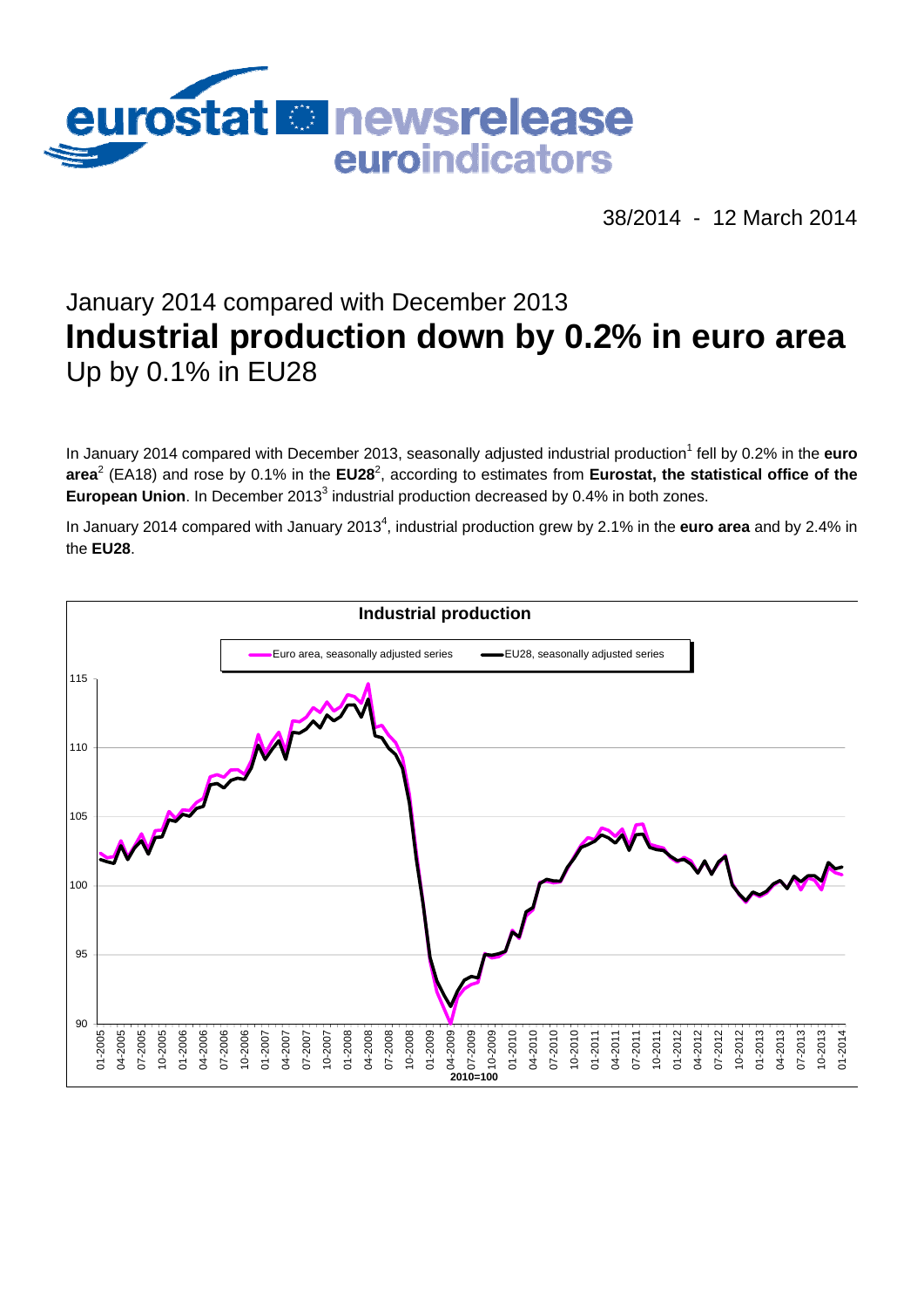

38/2014 - 12 March 2014

# January 2014 compared with December 2013 **Industrial production down by 0.2% in euro area**  Up by 0.1% in EU28

In January 2014 compared with December 2013, seasonally adjusted industrial production<sup>1</sup> fell by 0.2% in the **euro** area<sup>2</sup> (EA18) and rose by 0.1% in the EU28<sup>2</sup>, according to estimates from Eurostat, the statistical office of the European Union. In December 2013<sup>3</sup> industrial production decreased by 0.4% in both zones.

In January 2014 compared with January 2013<sup>4</sup>, industrial production grew by 2.1% in the **euro area** and by 2.4% in the **EU28**.

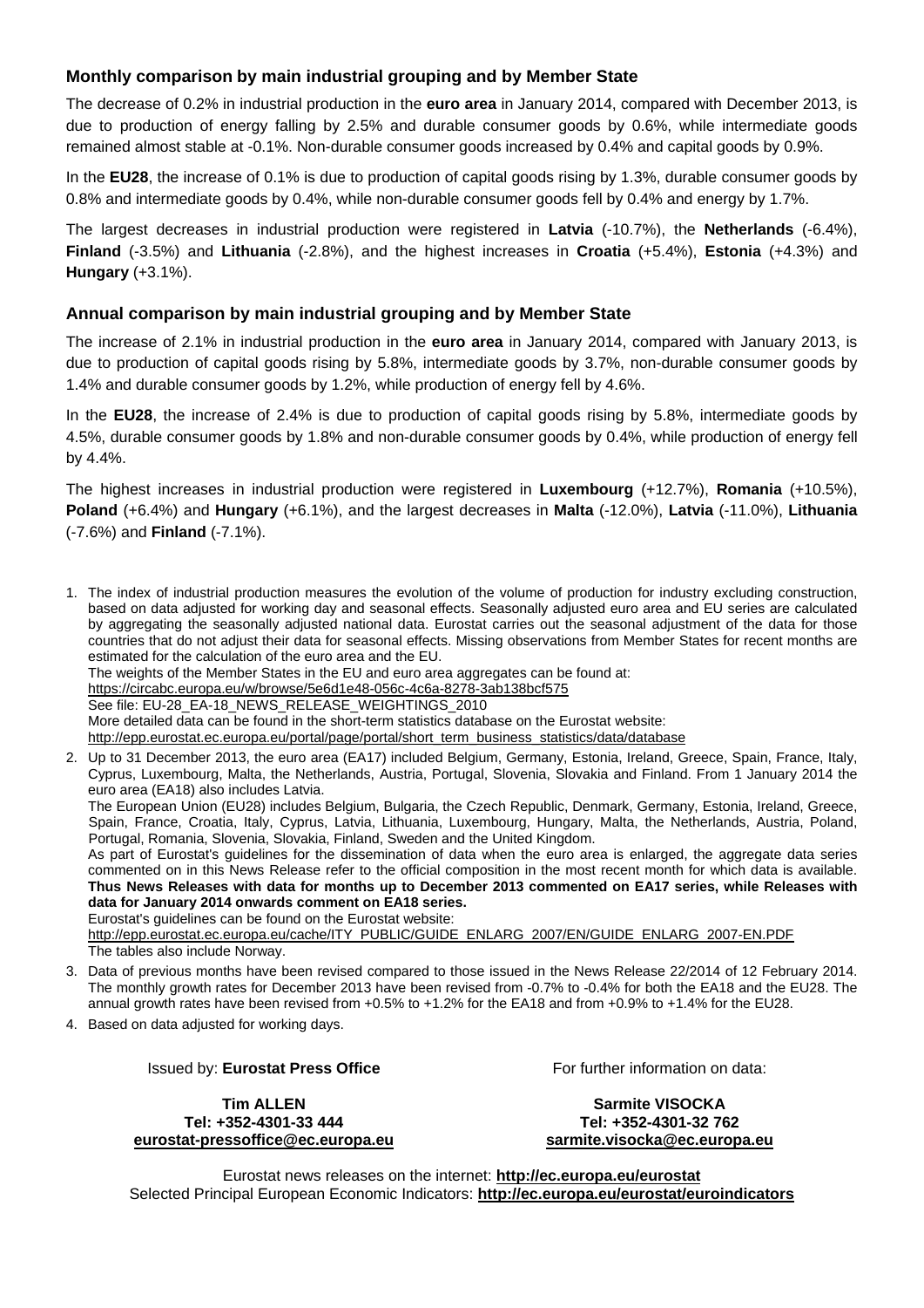### **Monthly comparison by main industrial grouping and by Member State**

The decrease of 0.2% in industrial production in the **euro area** in January 2014, compared with December 2013, is due to production of energy falling by 2.5% and durable consumer goods by 0.6%, while intermediate goods remained almost stable at -0.1%. Non-durable consumer goods increased by 0.4% and capital goods by 0.9%.

In the **EU28**, the increase of 0.1% is due to production of capital goods rising by 1.3%, durable consumer goods by 0.8% and intermediate goods by 0.4%, while non-durable consumer goods fell by 0.4% and energy by 1.7%.

The largest decreases in industrial production were registered in **Latvia** (-10.7%), the **Netherlands** (-6.4%), **Finland** (-3.5%) and **Lithuania** (-2.8%), and the highest increases in **Croatia** (+5.4%), **Estonia** (+4.3%) and **Hungary** (+3.1%).

#### **Annual comparison by main industrial grouping and by Member State**

The increase of 2.1% in industrial production in the **euro area** in January 2014, compared with January 2013, is due to production of capital goods rising by 5.8%, intermediate goods by 3.7%, non-durable consumer goods by 1.4% and durable consumer goods by 1.2%, while production of energy fell by 4.6%.

In the **EU28**, the increase of 2.4% is due to production of capital goods rising by 5.8%, intermediate goods by 4.5%, durable consumer goods by 1.8% and non-durable consumer goods by 0.4%, while production of energy fell by 4.4%.

The highest increases in industrial production were registered in **Luxembourg** (+12.7%), **Romania** (+10.5%), **Poland** (+6.4%) and **Hungary** (+6.1%), and the largest decreases in **Malta** (-12.0%), **Latvia** (-11.0%), **Lithuania** (-7.6%) and **Finland** (-7.1%).

1. The index of industrial production measures the evolution of the volume of production for industry excluding construction, based on data adjusted for working day and seasonal effects. Seasonally adjusted euro area and EU series are calculated by aggregating the seasonally adjusted national data. Eurostat carries out the seasonal adjustment of the data for those countries that do not adjust their data for seasonal effects. Missing observations from Member States for recent months are estimated for the calculation of the euro area and the EU. The weights of the Member States in the EU and euro area aggregates can be found at: <https://circabc.europa.eu/w/browse/5e6d1e48-056c-4c6a-8278-3ab138bcf575> See file: EU-28\_EA-18\_NEWS\_RELEASE\_WEIGHTINGS\_2010 More detailed data can be found in the short-term statistics database on the Eurostat website: [http://epp.eurostat.ec.europa.eu/portal/page/portal/short\\_term\\_business\\_statistics/data/database](http://epp.eurostat.ec.europa.eu/portal/page/portal/short_term_business_statistics/data/database)  2. Up to 31 December 2013, the euro area (EA17) included Belgium, Germany, Estonia, Ireland, Greece, Spain, France, Italy, Cyprus, Luxembourg, Malta, the Netherlands, Austria, Portugal, Slovenia, Slovakia and Finland. From 1 January 2014 the euro area (EA18) also includes Latvia. The European Union (EU28) includes Belgium, Bulgaria, the Czech Republic, Denmark, Germany, Estonia, Ireland, Greece, Spain, France, Croatia, Italy, Cyprus, Latvia, Lithuania, Luxembourg, Hungary, Malta, the Netherlands, Austria, Poland, Portugal, Romania, Slovenia, Slovakia, Finland, Sweden and the United Kingdom. As part of Eurostat's guidelines for the dissemination of data when the euro area is enlarged, the aggregate data series

commented on in this News Release refer to the official composition in the most recent month for which data is available. **Thus News Releases with data for months up to December 2013 commented on EA17 series, while Releases with data for January 2014 onwards comment on EA18 series.**

Eurostat's guidelines can be found on the Eurostat website: [http://epp.eurostat.ec.europa.eu/cache/ITY\\_PUBLIC/GUIDE\\_ENLARG\\_2007/EN/GUIDE\\_ENLARG\\_2007-EN.PDF](http://epp.eurostat.ec.europa.eu/cache/ITY_PUBLIC/GUIDE_ENLARG_2007/EN/GUIDE_ENLARG_2007-EN.PDF)  The tables also include Norway.

- 3. Data of previous months have been revised compared to those issued in the News Release 22/2014 of 12 February 2014. The monthly growth rates for December 2013 have been revised from -0.7% to -0.4% for both the EA18 and the EU28. The annual growth rates have been revised from +0.5% to +1.2% for the EA18 and from +0.9% to +1.4% for the EU28.
- 4. Based on data adjusted for working days.

#### Issued by: **Eurostat Press Office**

**Tim ALLEN Tel: +352-4301-33 444 [eurostat-pressoffice@ec.europa.eu](mailto:eurostat-pressoffice@ec.europa.eu)**  For further information on data:

**Sarmite VISOCKA Tel: +352-4301-32 762 [sarmite.visocka@ec.europa.eu](mailto:sarmite.visocka@ec.europa.eu)** 

Eurostat news releases on the internet: **<http://ec.europa.eu/eurostat>** Selected Principal European Economic Indicators: **<http://ec.europa.eu/eurostat/euroindicators>**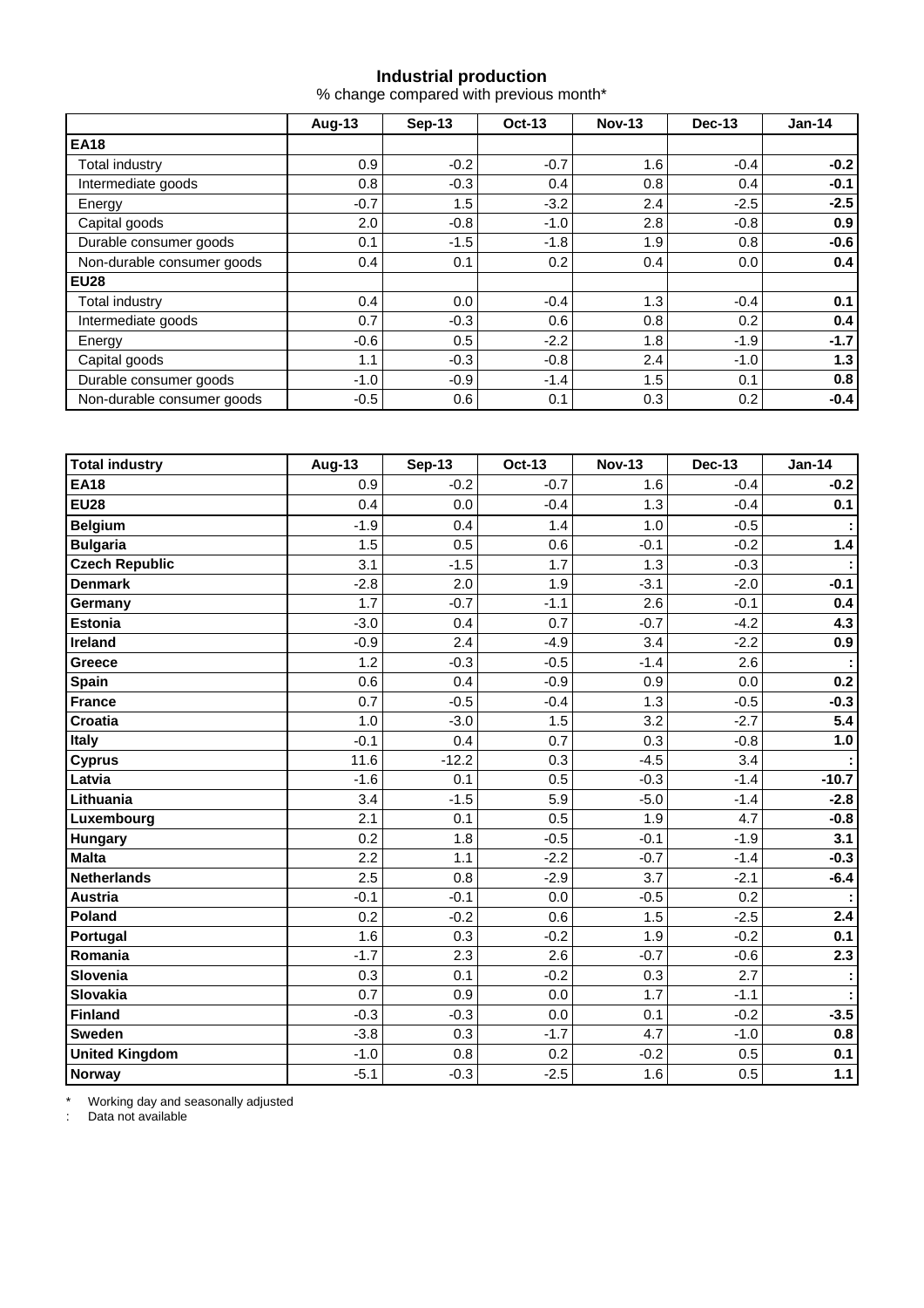#### **Industrial production**

% change compared with previous month\*

|                            | Aug-13 | $Sep-13$ | <b>Oct-13</b> | <b>Nov-13</b> | Dec-13 | $Jan-14$ |  |
|----------------------------|--------|----------|---------------|---------------|--------|----------|--|
| <b>EA18</b>                |        |          |               |               |        |          |  |
| Total industry             | 0.9    | $-0.2$   | $-0.7$        | 1.6           | $-0.4$ | $-0.2$   |  |
| Intermediate goods         | 0.8    | $-0.3$   | 0.4           | 0.8           | 0.4    | $-0.1$   |  |
| Energy                     | $-0.7$ | 1.5      | $-3.2$        | 2.4           | $-2.5$ | $-2.5$   |  |
| Capital goods              | 2.0    | $-0.8$   | $-1.0$        | 2.8           | $-0.8$ | 0.9      |  |
| Durable consumer goods     | 0.1    | $-1.5$   | $-1.8$        | 1.9           | 0.8    | $-0.6$   |  |
| Non-durable consumer goods | 0.4    | 0.1      | 0.2           | 0.4           | 0.0    | 0.4      |  |
| <b>EU28</b>                |        |          |               |               |        |          |  |
| Total industry             | 0.4    | 0.0      | $-0.4$        | 1.3           | $-0.4$ | 0.1      |  |
| Intermediate goods         | 0.7    | $-0.3$   | 0.6           | 0.8           | 0.2    | 0.4      |  |
| Energy                     | $-0.6$ | 0.5      | $-2.2$        | 1.8           | $-1.9$ | $-1.7$   |  |
| Capital goods              | 1.1    | $-0.3$   | $-0.8$        | 2.4           | $-1.0$ | 1.3      |  |
| Durable consumer goods     | $-1.0$ | $-0.9$   | $-1.4$        | 1.5           | 0.1    | 0.8      |  |
| Non-durable consumer goods | $-0.5$ | 0.6      | 0.1           | 0.3           | 0.2    | $-0.4$   |  |

| <b>Total industry</b> | <b>Aug-13</b> | <b>Sep-13</b> | Oct-13 | <b>Nov-13</b> | <b>Dec-13</b> | $Jan-14$ |
|-----------------------|---------------|---------------|--------|---------------|---------------|----------|
| <b>EA18</b>           | 0.9           | $-0.2$        | $-0.7$ | 1.6           | $-0.4$        | $-0.2$   |
| <b>EU28</b>           | 0.4           | 0.0           | $-0.4$ | 1.3           | $-0.4$        | 0.1      |
| <b>Belgium</b>        | $-1.9$        | 0.4           | 1.4    | 1.0           | $-0.5$        |          |
| <b>Bulgaria</b>       | 1.5           | 0.5           | 0.6    | $-0.1$        | $-0.2$        | 1.4      |
| <b>Czech Republic</b> | 3.1           | $-1.5$        | 1.7    | 1.3           | $-0.3$        |          |
| <b>Denmark</b>        | $-2.8$        | 2.0           | 1.9    | $-3.1$        | $-2.0$        | $-0.1$   |
| Germany               | 1.7           | $-0.7$        | $-1.1$ | 2.6           | $-0.1$        | 0.4      |
| <b>Estonia</b>        | $-3.0$        | 0.4           | 0.7    | $-0.7$        | $-4.2$        | 4.3      |
| Ireland               | $-0.9$        | 2.4           | $-4.9$ | 3.4           | $-2.2$        | 0.9      |
| Greece                | 1.2           | $-0.3$        | $-0.5$ | $-1.4$        | 2.6           |          |
| Spain                 | 0.6           | 0.4           | $-0.9$ | 0.9           | 0.0           | 0.2      |
| <b>France</b>         | 0.7           | $-0.5$        | $-0.4$ | 1.3           | $-0.5$        | $-0.3$   |
| Croatia               | 1.0           | $-3.0$        | 1.5    | 3.2           | $-2.7$        | 5.4      |
| <b>Italy</b>          | $-0.1$        | 0.4           | 0.7    | 0.3           | $-0.8$        | 1.0      |
| <b>Cyprus</b>         | 11.6          | $-12.2$       | 0.3    | $-4.5$        | 3.4           |          |
| Latvia                | $-1.6$        | 0.1           | 0.5    | $-0.3$        | $-1.4$        | $-10.7$  |
| Lithuania             | 3.4           | $-1.5$        | 5.9    | $-5.0$        | $-1.4$        | $-2.8$   |
| Luxembourg            | 2.1           | 0.1           | 0.5    | 1.9           | 4.7           | $-0.8$   |
| <b>Hungary</b>        | 0.2           | 1.8           | $-0.5$ | $-0.1$        | $-1.9$        | 3.1      |
| <b>Malta</b>          | 2.2           | 1.1           | $-2.2$ | $-0.7$        | $-1.4$        | $-0.3$   |
| <b>Netherlands</b>    | 2.5           | 0.8           | $-2.9$ | 3.7           | $-2.1$        | $-6.4$   |
| <b>Austria</b>        | $-0.1$        | $-0.1$        | 0.0    | $-0.5$        | 0.2           |          |
| Poland                | 0.2           | $-0.2$        | 0.6    | 1.5           | $-2.5$        | 2.4      |
| Portugal              | 1.6           | 0.3           | $-0.2$ | 1.9           | $-0.2$        | 0.1      |
| Romania               | $-1.7$        | 2.3           | 2.6    | $-0.7$        | $-0.6$        | 2.3      |
| Slovenia              | 0.3           | 0.1           | $-0.2$ | 0.3           | 2.7           |          |
| Slovakia              | 0.7           | 0.9           | 0.0    | 1.7           | $-1.1$        |          |
| Finland               | $-0.3$        | $-0.3$        | 0.0    | 0.1           | $-0.2$        | $-3.5$   |
| <b>Sweden</b>         | $-3.8$        | 0.3           | $-1.7$ | 4.7           | $-1.0$        | 0.8      |
| <b>United Kingdom</b> | $-1.0$        | 0.8           | 0.2    | $-0.2$        | 0.5           | 0.1      |
| Norway                | $-5.1$        | $-0.3$        | $-2.5$ | 1.6           | 0.5           | 1.1      |

\* Working day and seasonally adjusted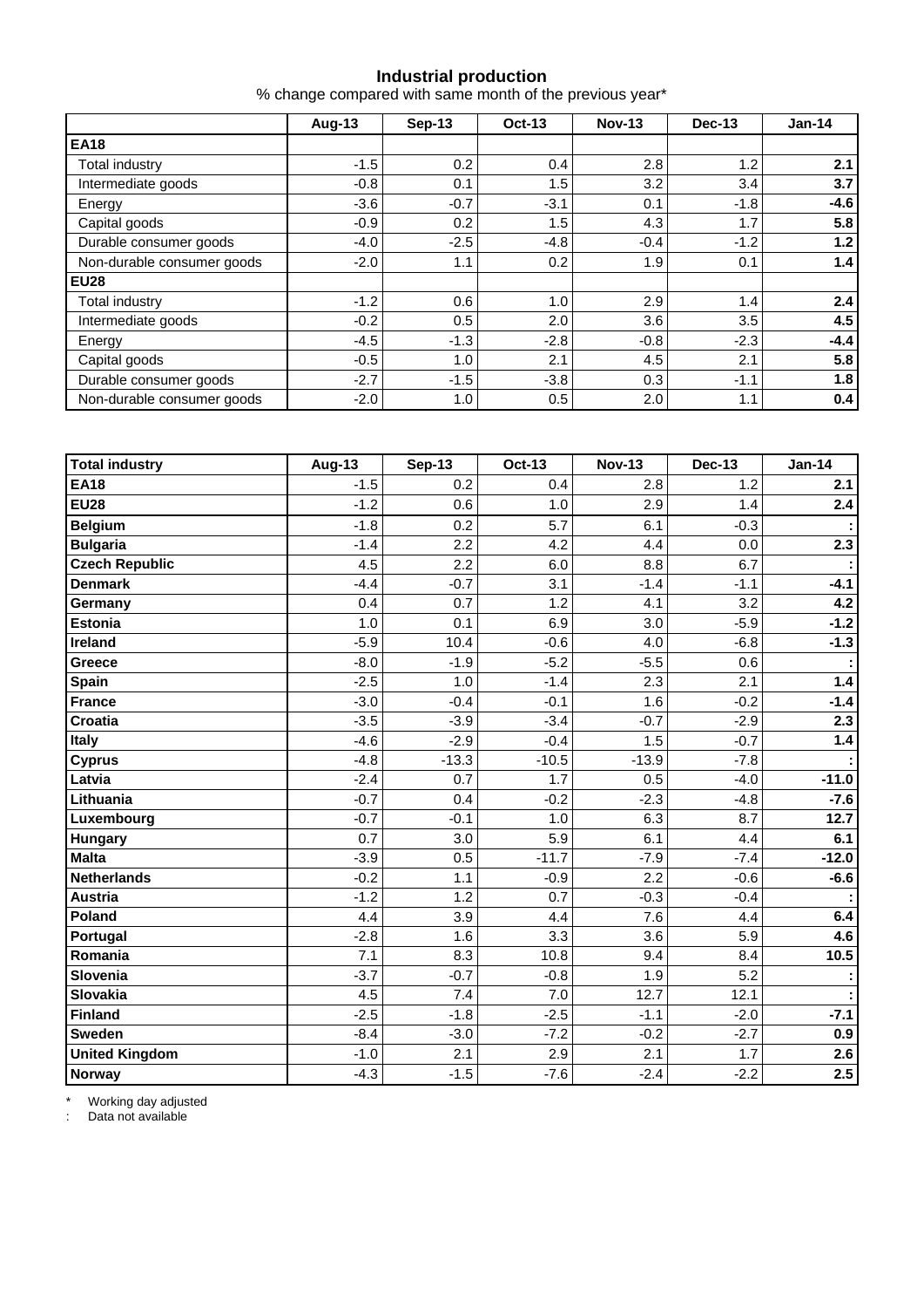#### **Industrial production**

% change compared with same month of the previous year\*

|                            | Aug-13 | Sep-13 | <b>Oct-13</b> | <b>Nov-13</b> | <b>Dec-13</b> | $Jan-14$ |  |
|----------------------------|--------|--------|---------------|---------------|---------------|----------|--|
| <b>EA18</b>                |        |        |               |               |               |          |  |
| Total industry             | $-1.5$ | 0.2    | 0.4           | 2.8           | 1.2           | 2.1      |  |
| Intermediate goods         | $-0.8$ | 0.1    | 1.5           | 3.2           | 3.4           | 3.7      |  |
| Energy                     | $-3.6$ | $-0.7$ | $-3.1$        | 0.1           | $-1.8$        | $-4.6$   |  |
| Capital goods              | $-0.9$ | 0.2    | 1.5           | 4.3           | 1.7           | 5.8      |  |
| Durable consumer goods     | $-4.0$ | $-2.5$ | $-4.8$        | $-0.4$        | $-1.2$        | 1.2      |  |
| Non-durable consumer goods | $-2.0$ | 1.1    | 0.2           | 1.9           | 0.1           | 1.4      |  |
| <b>EU28</b>                |        |        |               |               |               |          |  |
| Total industry             | $-1.2$ | 0.6    | 1.0           | 2.9           | 1.4           | 2.4      |  |
| Intermediate goods         | $-0.2$ | 0.5    | 2.0           | 3.6           | 3.5           | 4.5      |  |
| Energy                     | $-4.5$ | $-1.3$ | $-2.8$        | $-0.8$        | $-2.3$        | $-4.4$   |  |
| Capital goods              | $-0.5$ | 1.0    | 2.1           | 4.5           | 2.1           | 5.8      |  |
| Durable consumer goods     | $-2.7$ | $-1.5$ | $-3.8$        | 0.3           | $-1.1$        | 1.8      |  |
| Non-durable consumer goods | $-2.0$ | 1.0    | 0.5           | 2.0           | 1.1           | 0.4      |  |

| <b>Total industry</b> | <b>Aug-13</b> | <b>Sep-13</b> | Oct-13  | <b>Nov-13</b> | <b>Dec-13</b> | <b>Jan-14</b> |
|-----------------------|---------------|---------------|---------|---------------|---------------|---------------|
| <b>EA18</b>           | $-1.5$        | 0.2           | 0.4     | 2.8           | 1.2           | 2.1           |
| <b>EU28</b>           | $-1.2$        | 0.6           | 1.0     | 2.9           | 1.4           | 2.4           |
| <b>Belgium</b>        | $-1.8$        | 0.2           | 5.7     | 6.1           | $-0.3$        |               |
| <b>Bulgaria</b>       | $-1.4$        | 2.2           | 4.2     | 4.4           | 0.0           | 2.3           |
| <b>Czech Republic</b> | 4.5           | 2.2           | 6.0     | 8.8           | 6.7           |               |
| <b>Denmark</b>        | $-4.4$        | $-0.7$        | 3.1     | $-1.4$        | $-1.1$        | $-4.1$        |
| Germany               | 0.4           | 0.7           | 1.2     | 4.1           | 3.2           | 4.2           |
| <b>Estonia</b>        | 1.0           | 0.1           | 6.9     | 3.0           | $-5.9$        | $-1.2$        |
| Ireland               | $-5.9$        | 10.4          | $-0.6$  | 4.0           | $-6.8$        | $-1.3$        |
| Greece                | $-8.0$        | $-1.9$        | $-5.2$  | $-5.5$        | 0.6           |               |
| <b>Spain</b>          | $-2.5$        | 1.0           | $-1.4$  | 2.3           | 2.1           | 1.4           |
| <b>France</b>         | $-3.0$        | $-0.4$        | $-0.1$  | 1.6           | $-0.2$        | $-1.4$        |
| <b>Croatia</b>        | $-3.5$        | $-3.9$        | $-3.4$  | $-0.7$        | $-2.9$        | 2.3           |
| Italy                 | $-4.6$        | $-2.9$        | $-0.4$  | 1.5           | $-0.7$        | 1.4           |
| <b>Cyprus</b>         | $-4.8$        | $-13.3$       | $-10.5$ | $-13.9$       | $-7.8$        |               |
| Latvia                | $-2.4$        | 0.7           | 1.7     | 0.5           | $-4.0$        | $-11.0$       |
| Lithuania             | $-0.7$        | 0.4           | $-0.2$  | $-2.3$        | $-4.8$        | $-7.6$        |
| Luxembourg            | $-0.7$        | $-0.1$        | 1.0     | 6.3           | 8.7           | 12.7          |
| <b>Hungary</b>        | 0.7           | 3.0           | 5.9     | 6.1           | 4.4           | 6.1           |
| <b>Malta</b>          | $-3.9$        | 0.5           | $-11.7$ | $-7.9$        | $-7.4$        | $-12.0$       |
| <b>Netherlands</b>    | $-0.2$        | 1.1           | $-0.9$  | 2.2           | $-0.6$        | $-6.6$        |
| <b>Austria</b>        | $-1.2$        | 1.2           | 0.7     | $-0.3$        | $-0.4$        |               |
| Poland                | 4.4           | 3.9           | 4.4     | 7.6           | 4.4           | 6.4           |
| Portugal              | $-2.8$        | 1.6           | 3.3     | 3.6           | 5.9           | 4.6           |
| Romania               | 7.1           | 8.3           | 10.8    | 9.4           | 8.4           | 10.5          |
| Slovenia              | $-3.7$        | $-0.7$        | $-0.8$  | 1.9           | 5.2           | ÷             |
| Slovakia              | 4.5           | 7.4           | 7.0     | 12.7          | 12.1          |               |
| Finland               | $-2.5$        | $-1.8$        | $-2.5$  | $-1.1$        | $-2.0$        | $-7.1$        |
| <b>Sweden</b>         | $-8.4$        | $-3.0$        | $-7.2$  | $-0.2$        | $-2.7$        | 0.9           |
| <b>United Kingdom</b> | $-1.0$        | 2.1           | 2.9     | 2.1           | 1.7           | 2.6           |
| Norway                | $-4.3$        | $-1.5$        | $-7.6$  | $-2.4$        | $-2.2$        | 2.5           |

\* Working day adjusted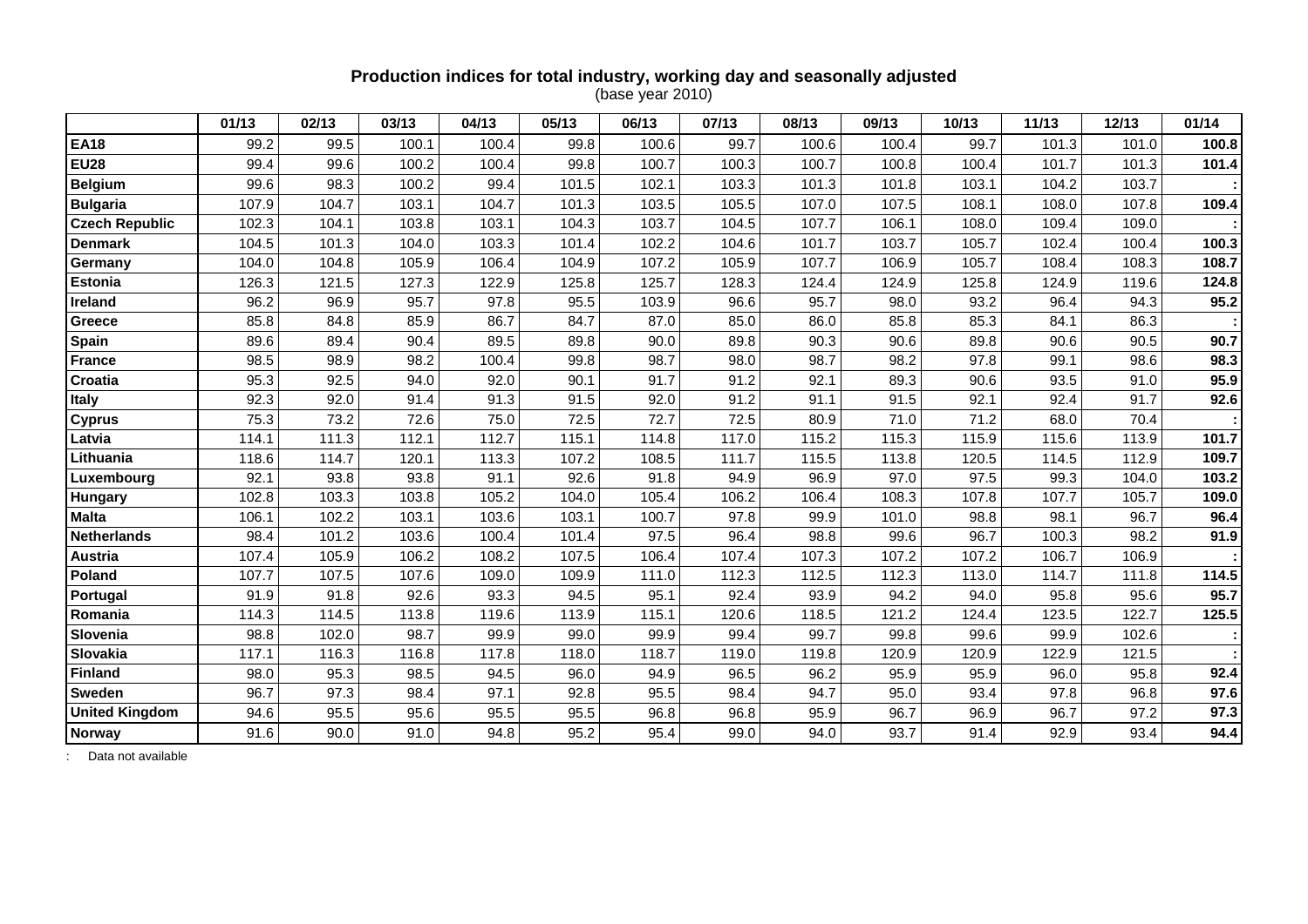## **Production indices for total industry, working day and seasonally adjusted**

(base year 2010)

|                       | 01/13 | 02/13 | 03/13 | 04/13 | 05/13 | 06/13 | 07/13 | 08/13 | 09/13 | 10/13 | 11/13 | 12/13 | 01/14 |
|-----------------------|-------|-------|-------|-------|-------|-------|-------|-------|-------|-------|-------|-------|-------|
| <b>EA18</b>           | 99.2  | 99.5  | 100.1 | 100.4 | 99.8  | 100.6 | 99.7  | 100.6 | 100.4 | 99.7  | 101.3 | 101.0 | 100.8 |
| <b>EU28</b>           | 99.4  | 99.6  | 100.2 | 100.4 | 99.8  | 100.7 | 100.3 | 100.7 | 100.8 | 100.4 | 101.7 | 101.3 | 101.4 |
| <b>Belgium</b>        | 99.6  | 98.3  | 100.2 | 99.4  | 101.5 | 102.1 | 103.3 | 101.3 | 101.8 | 103.1 | 104.2 | 103.7 |       |
| <b>Bulgaria</b>       | 107.9 | 104.7 | 103.1 | 104.7 | 101.3 | 103.5 | 105.5 | 107.0 | 107.5 | 108.1 | 108.0 | 107.8 | 109.4 |
| <b>Czech Republic</b> | 102.3 | 104.1 | 103.8 | 103.1 | 104.3 | 103.7 | 104.5 | 107.7 | 106.1 | 108.0 | 109.4 | 109.0 |       |
| <b>Denmark</b>        | 104.5 | 101.3 | 104.0 | 103.3 | 101.4 | 102.2 | 104.6 | 101.7 | 103.7 | 105.7 | 102.4 | 100.4 | 100.3 |
| Germany               | 104.0 | 104.8 | 105.9 | 106.4 | 104.9 | 107.2 | 105.9 | 107.7 | 106.9 | 105.7 | 108.4 | 108.3 | 108.7 |
| <b>Estonia</b>        | 126.3 | 121.5 | 127.3 | 122.9 | 125.8 | 125.7 | 128.3 | 124.4 | 124.9 | 125.8 | 124.9 | 119.6 | 124.8 |
| Ireland               | 96.2  | 96.9  | 95.7  | 97.8  | 95.5  | 103.9 | 96.6  | 95.7  | 98.0  | 93.2  | 96.4  | 94.3  | 95.2  |
| Greece                | 85.8  | 84.8  | 85.9  | 86.7  | 84.7  | 87.0  | 85.0  | 86.0  | 85.8  | 85.3  | 84.1  | 86.3  |       |
| Spain                 | 89.6  | 89.4  | 90.4  | 89.5  | 89.8  | 90.0  | 89.8  | 90.3  | 90.6  | 89.8  | 90.6  | 90.5  | 90.7  |
| <b>France</b>         | 98.5  | 98.9  | 98.2  | 100.4 | 99.8  | 98.7  | 98.0  | 98.7  | 98.2  | 97.8  | 99.1  | 98.6  | 98.3  |
| Croatia               | 95.3  | 92.5  | 94.0  | 92.0  | 90.1  | 91.7  | 91.2  | 92.1  | 89.3  | 90.6  | 93.5  | 91.0  | 95.9  |
| <b>Italy</b>          | 92.3  | 92.0  | 91.4  | 91.3  | 91.5  | 92.0  | 91.2  | 91.1  | 91.5  | 92.1  | 92.4  | 91.7  | 92.6  |
| <b>Cyprus</b>         | 75.3  | 73.2  | 72.6  | 75.0  | 72.5  | 72.7  | 72.5  | 80.9  | 71.0  | 71.2  | 68.0  | 70.4  |       |
| Latvia                | 114.1 | 111.3 | 112.1 | 112.7 | 115.1 | 114.8 | 117.0 | 115.2 | 115.3 | 115.9 | 115.6 | 113.9 | 101.7 |
| Lithuania             | 118.6 | 114.7 | 120.1 | 113.3 | 107.2 | 108.5 | 111.7 | 115.5 | 113.8 | 120.5 | 114.5 | 112.9 | 109.7 |
| Luxembourg            | 92.1  | 93.8  | 93.8  | 91.1  | 92.6  | 91.8  | 94.9  | 96.9  | 97.0  | 97.5  | 99.3  | 104.0 | 103.2 |
| Hungary               | 102.8 | 103.3 | 103.8 | 105.2 | 104.0 | 105.4 | 106.2 | 106.4 | 108.3 | 107.8 | 107.7 | 105.7 | 109.0 |
| <b>Malta</b>          | 106.1 | 102.2 | 103.1 | 103.6 | 103.1 | 100.7 | 97.8  | 99.9  | 101.0 | 98.8  | 98.1  | 96.7  | 96.4  |
| Netherlands           | 98.4  | 101.2 | 103.6 | 100.4 | 101.4 | 97.5  | 96.4  | 98.8  | 99.6  | 96.7  | 100.3 | 98.2  | 91.9  |
| Austria               | 107.4 | 105.9 | 106.2 | 108.2 | 107.5 | 106.4 | 107.4 | 107.3 | 107.2 | 107.2 | 106.7 | 106.9 |       |
| Poland                | 107.7 | 107.5 | 107.6 | 109.0 | 109.9 | 111.0 | 112.3 | 112.5 | 112.3 | 113.0 | 114.7 | 111.8 | 114.5 |
| Portugal              | 91.9  | 91.8  | 92.6  | 93.3  | 94.5  | 95.1  | 92.4  | 93.9  | 94.2  | 94.0  | 95.8  | 95.6  | 95.7  |
| Romania               | 114.3 | 114.5 | 113.8 | 119.6 | 113.9 | 115.1 | 120.6 | 118.5 | 121.2 | 124.4 | 123.5 | 122.7 | 125.5 |
| Slovenia              | 98.8  | 102.0 | 98.7  | 99.9  | 99.0  | 99.9  | 99.4  | 99.7  | 99.8  | 99.6  | 99.9  | 102.6 |       |
| Slovakia              | 117.1 | 116.3 | 116.8 | 117.8 | 118.0 | 118.7 | 119.0 | 119.8 | 120.9 | 120.9 | 122.9 | 121.5 |       |
| <b>Finland</b>        | 98.0  | 95.3  | 98.5  | 94.5  | 96.0  | 94.9  | 96.5  | 96.2  | 95.9  | 95.9  | 96.0  | 95.8  | 92.4  |
| <b>Sweden</b>         | 96.7  | 97.3  | 98.4  | 97.1  | 92.8  | 95.5  | 98.4  | 94.7  | 95.0  | 93.4  | 97.8  | 96.8  | 97.6  |
| <b>United Kingdom</b> | 94.6  | 95.5  | 95.6  | 95.5  | 95.5  | 96.8  | 96.8  | 95.9  | 96.7  | 96.9  | 96.7  | 97.2  | 97.3  |
| Norway                | 91.6  | 90.0  | 91.0  | 94.8  | 95.2  | 95.4  | 99.0  | 94.0  | 93.7  | 91.4  | 92.9  | 93.4  | 94.4  |